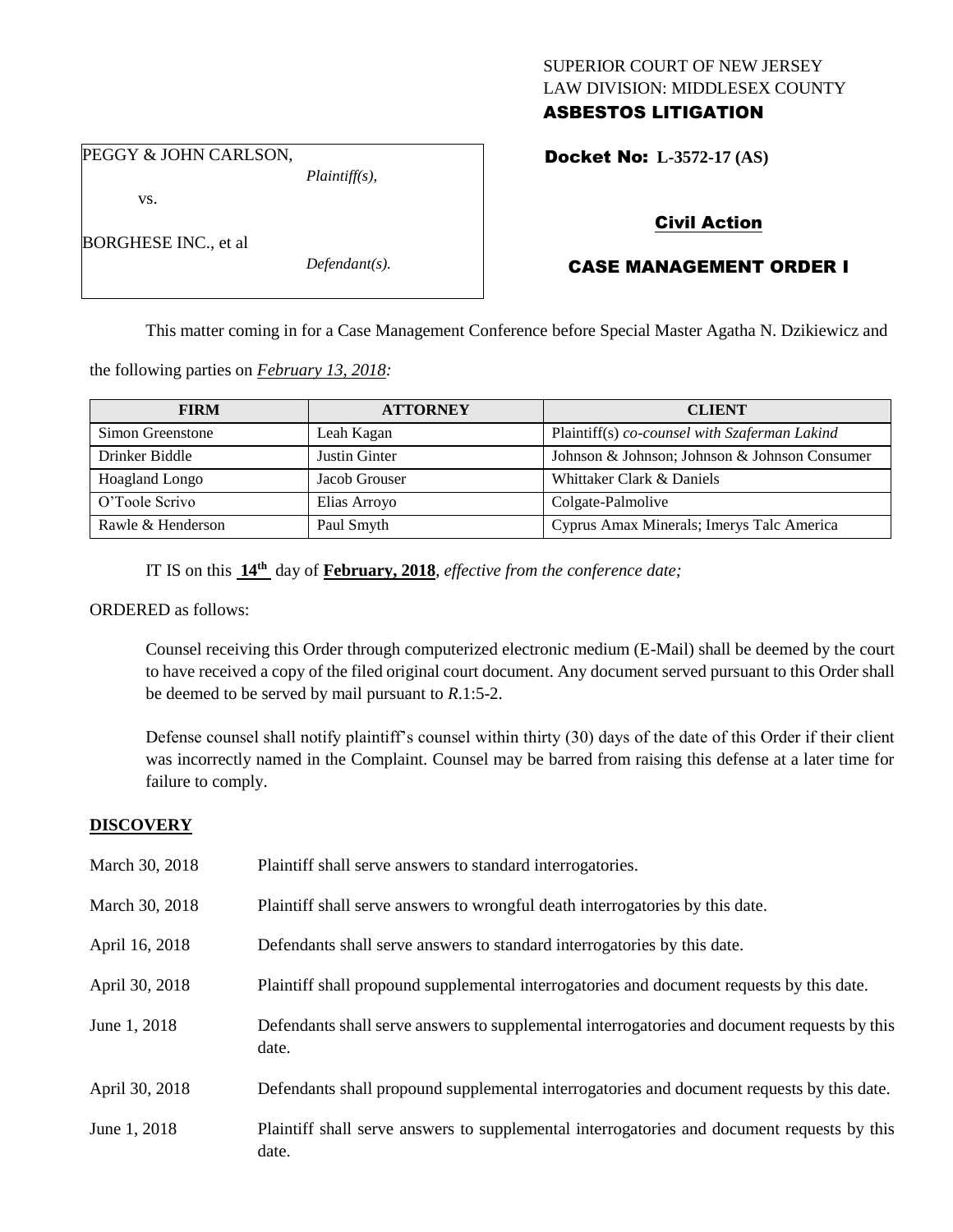# SUPERIOR COURT OF NEW JERSEY LAW DIVISION: MIDDLESEX COUNTY ASBESTOS LITIGATION

PEGGY & JOHN CARLSON,

vs.

BORGHESE INC., et al

*Defendant(s).*

*Plaintiff(s),*

Docket No: **L-3572-17 (AS)** 

# Civil Action

# CASE MANAGEMENT ORDER I

This matter coming in for a Case Management Conference before Special Master Agatha N. Dzikiewicz and

the following parties on *February 13, 2018:*

| <b>FIRM</b>           | <b>ATTORNEY</b> | <b>CLIENT</b>                                 |
|-----------------------|-----------------|-----------------------------------------------|
| Simon Greenstone      | Leah Kagan      | Plaintiff(s) co-counsel with Szaferman Lakind |
| Drinker Biddle        | Justin Ginter   | Johnson & Johnson; Johnson & Johnson Consumer |
| <b>Hoagland Longo</b> | Jacob Grouser   | Whittaker Clark & Daniels                     |
| O'Toole Scrivo        | Elias Arroyo    | Colgate-Palmolive                             |
| Rawle & Henderson     | Paul Smyth      | Cyprus Amax Minerals; Imerys Talc America     |

IT IS on this **14th** day of **February, 2018**, *effective from the conference date;*

ORDERED as follows:

Counsel receiving this Order through computerized electronic medium (E-Mail) shall be deemed by the court to have received a copy of the filed original court document. Any document served pursuant to this Order shall be deemed to be served by mail pursuant to *R*.1:5-2.

Defense counsel shall notify plaintiff's counsel within thirty (30) days of the date of this Order if their client was incorrectly named in the Complaint. Counsel may be barred from raising this defense at a later time for failure to comply.

# **DISCOVERY**

| March 30, 2018 | Plaintiff shall serve answers to standard interrogatories.                                            |
|----------------|-------------------------------------------------------------------------------------------------------|
| March 30, 2018 | Plaintiff shall serve answers to wrongful death interrogatories by this date.                         |
| April 16, 2018 | Defendants shall serve answers to standard interrogatories by this date.                              |
| April 30, 2018 | Plaintiff shall propound supplemental interrogatories and document requests by this date.             |
| June 1, 2018   | Defendants shall serve answers to supplemental interrogatories and document requests by this<br>date. |
| April 30, 2018 | Defendants shall propound supplemental interrogatories and document requests by this date.            |
| June 1, 2018   | Plaintiff shall serve answers to supplemental interrogatories and document requests by this<br>date.  |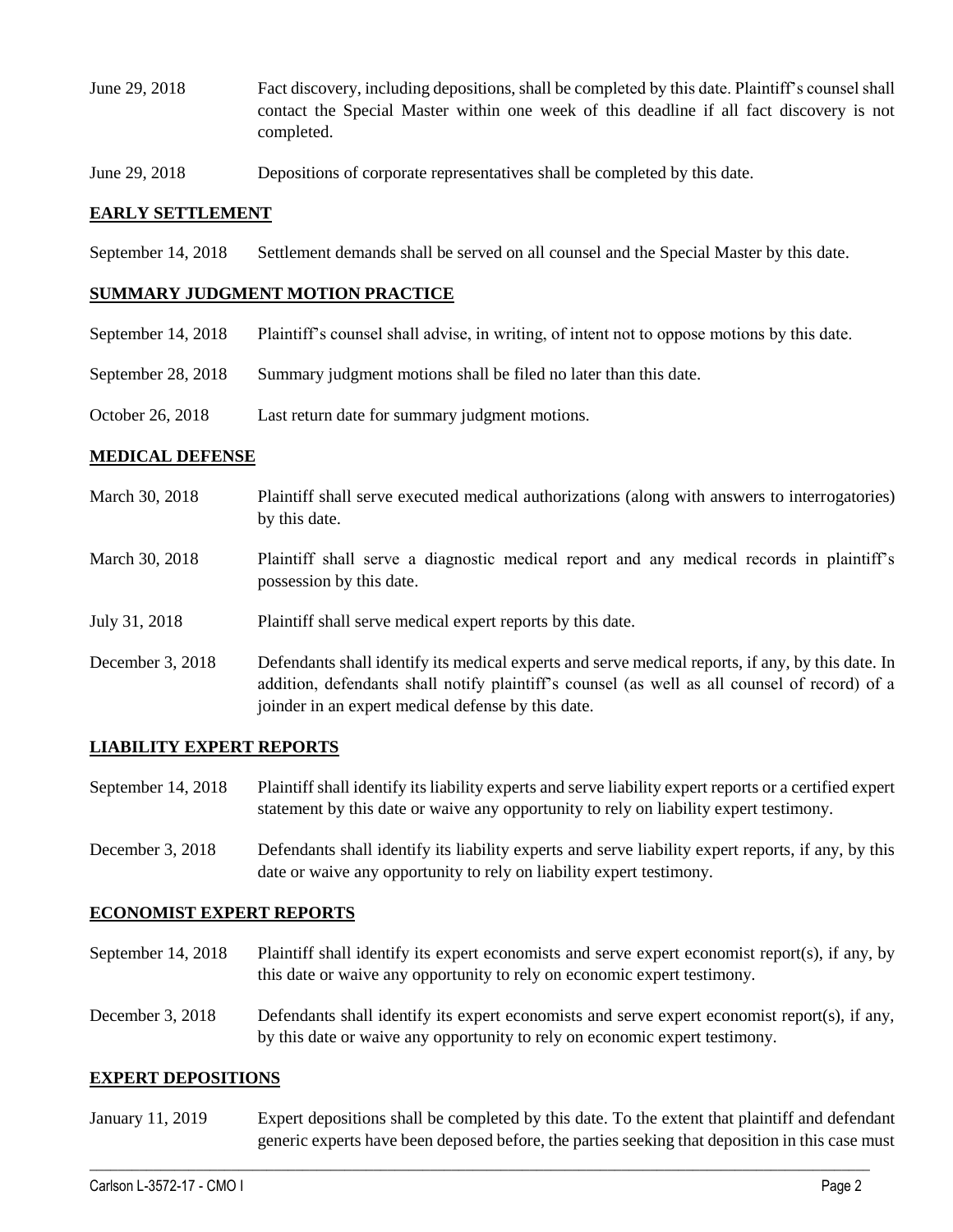- June 29, 2018 Fact discovery, including depositions, shall be completed by this date. Plaintiff's counsel shall contact the Special Master within one week of this deadline if all fact discovery is not completed.
- June 29, 2018 Depositions of corporate representatives shall be completed by this date.

### **EARLY SETTLEMENT**

September 14, 2018 Settlement demands shall be served on all counsel and the Special Master by this date.

### **SUMMARY JUDGMENT MOTION PRACTICE**

- September 14, 2018 Plaintiff's counsel shall advise, in writing, of intent not to oppose motions by this date.
- September 28, 2018 Summary judgment motions shall be filed no later than this date.
- October 26, 2018 Last return date for summary judgment motions.

#### **MEDICAL DEFENSE**

- March 30, 2018 Plaintiff shall serve executed medical authorizations (along with answers to interrogatories) by this date.
- March 30, 2018 Plaintiff shall serve a diagnostic medical report and any medical records in plaintiff's possession by this date.
- July 31, 2018 Plaintiff shall serve medical expert reports by this date.
- December 3, 2018 Defendants shall identify its medical experts and serve medical reports, if any, by this date. In addition, defendants shall notify plaintiff's counsel (as well as all counsel of record) of a joinder in an expert medical defense by this date.

#### **LIABILITY EXPERT REPORTS**

- September 14, 2018 Plaintiff shall identify its liability experts and serve liability expert reports or a certified expert statement by this date or waive any opportunity to rely on liability expert testimony.
- December 3, 2018 Defendants shall identify its liability experts and serve liability expert reports, if any, by this date or waive any opportunity to rely on liability expert testimony.

#### **ECONOMIST EXPERT REPORTS**

- September 14, 2018 Plaintiff shall identify its expert economists and serve expert economist report(s), if any, by this date or waive any opportunity to rely on economic expert testimony.
- December 3, 2018 Defendants shall identify its expert economists and serve expert economist report(s), if any, by this date or waive any opportunity to rely on economic expert testimony.

#### **EXPERT DEPOSITIONS**

January 11, 2019 Expert depositions shall be completed by this date. To the extent that plaintiff and defendant generic experts have been deposed before, the parties seeking that deposition in this case must

 $\_$  ,  $\_$  ,  $\_$  ,  $\_$  ,  $\_$  ,  $\_$  ,  $\_$  ,  $\_$  ,  $\_$  ,  $\_$  ,  $\_$  ,  $\_$  ,  $\_$  ,  $\_$  ,  $\_$  ,  $\_$  ,  $\_$  ,  $\_$  ,  $\_$  ,  $\_$  ,  $\_$  ,  $\_$  ,  $\_$  ,  $\_$  ,  $\_$  ,  $\_$  ,  $\_$  ,  $\_$  ,  $\_$  ,  $\_$  ,  $\_$  ,  $\_$  ,  $\_$  ,  $\_$  ,  $\_$  ,  $\_$  ,  $\_$  ,